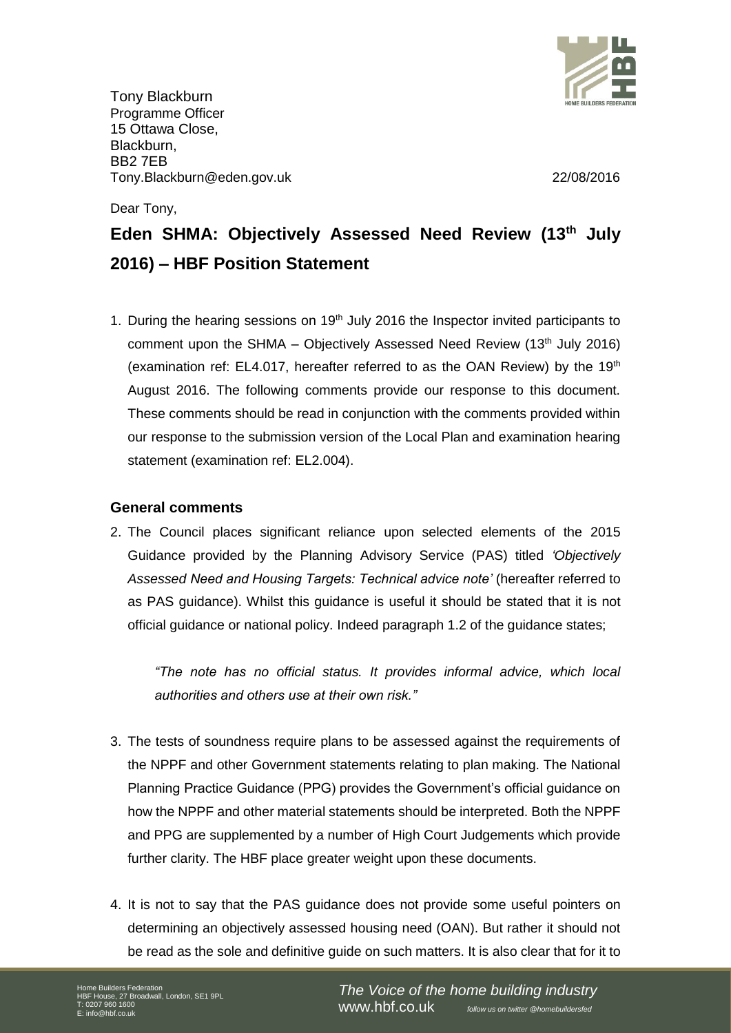

Tony Blackburn Programme Officer 15 Ottawa Close, Blackburn, BB2 7EB Tony.Blackburn@eden.gov.uk 22/08/2016

Dear Tony,

# **Eden SHMA: Objectively Assessed Need Review (13th July 2016) – HBF Position Statement**

1. During the hearing sessions on  $19<sup>th</sup>$  July 2016 the Inspector invited participants to comment upon the SHMA – Objectively Assessed Need Review  $(13<sup>th</sup>$  July 2016) (examination ref: EL4.017, hereafter referred to as the OAN Review) by the  $19<sup>th</sup>$ August 2016. The following comments provide our response to this document. These comments should be read in conjunction with the comments provided within our response to the submission version of the Local Plan and examination hearing statement (examination ref: EL2.004).

# **General comments**

2. The Council places significant reliance upon selected elements of the 2015 Guidance provided by the Planning Advisory Service (PAS) titled *'Objectively Assessed Need and Housing Targets: Technical advice note'* (hereafter referred to as PAS guidance). Whilst this guidance is useful it should be stated that it is not official guidance or national policy. Indeed paragraph 1.2 of the guidance states;

*"The note has no official status. It provides informal advice, which local authorities and others use at their own risk."*

- 3. The tests of soundness require plans to be assessed against the requirements of the NPPF and other Government statements relating to plan making. The National Planning Practice Guidance (PPG) provides the Government's official guidance on how the NPPF and other material statements should be interpreted. Both the NPPF and PPG are supplemented by a number of High Court Judgements which provide further clarity. The HBF place greater weight upon these documents.
- 4. It is not to say that the PAS guidance does not provide some useful pointers on determining an objectively assessed housing need (OAN). But rather it should not be read as the sole and definitive guide on such matters. It is also clear that for it to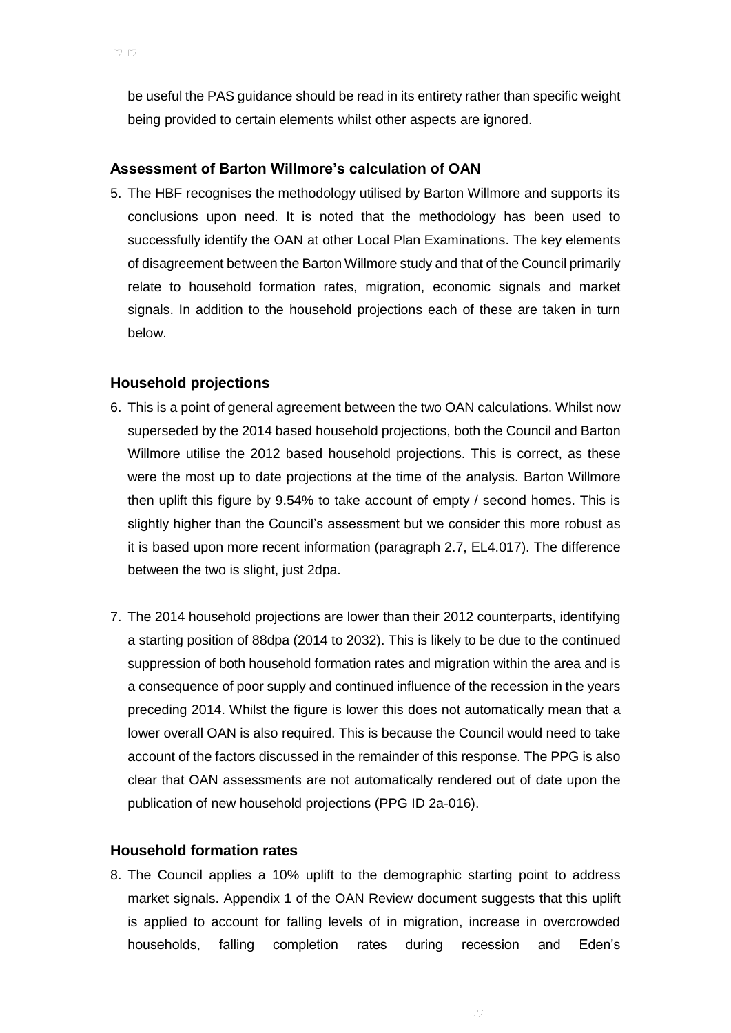be useful the PAS guidance should be read in its entirety rather than specific weight being provided to certain elements whilst other aspects are ignored.

## **Assessment of Barton Willmore's calculation of OAN**

5. The HBF recognises the methodology utilised by Barton Willmore and supports its conclusions upon need. It is noted that the methodology has been used to successfully identify the OAN at other Local Plan Examinations. The key elements of disagreement between the Barton Willmore study and that of the Council primarily relate to household formation rates, migration, economic signals and market signals. In addition to the household projections each of these are taken in turn below.

# **Household projections**

- 6. This is a point of general agreement between the two OAN calculations. Whilst now superseded by the 2014 based household projections, both the Council and Barton Willmore utilise the 2012 based household projections. This is correct, as these were the most up to date projections at the time of the analysis. Barton Willmore then uplift this figure by 9.54% to take account of empty / second homes. This is slightly higher than the Council's assessment but we consider this more robust as it is based upon more recent information (paragraph 2.7, EL4.017). The difference between the two is slight, just 2dpa.
- 7. The 2014 household projections are lower than their 2012 counterparts, identifying a starting position of 88dpa (2014 to 2032). This is likely to be due to the continued suppression of both household formation rates and migration within the area and is a consequence of poor supply and continued influence of the recession in the years preceding 2014. Whilst the figure is lower this does not automatically mean that a lower overall OAN is also required. This is because the Council would need to take account of the factors discussed in the remainder of this response. The PPG is also clear that OAN assessments are not automatically rendered out of date upon the publication of new household projections (PPG ID 2a-016).

#### **Household formation rates**

8. The Council applies a 10% uplift to the demographic starting point to address market signals. Appendix 1 of the OAN Review document suggests that this uplift is applied to account for falling levels of in migration, increase in overcrowded households, falling completion rates during recession and Eden's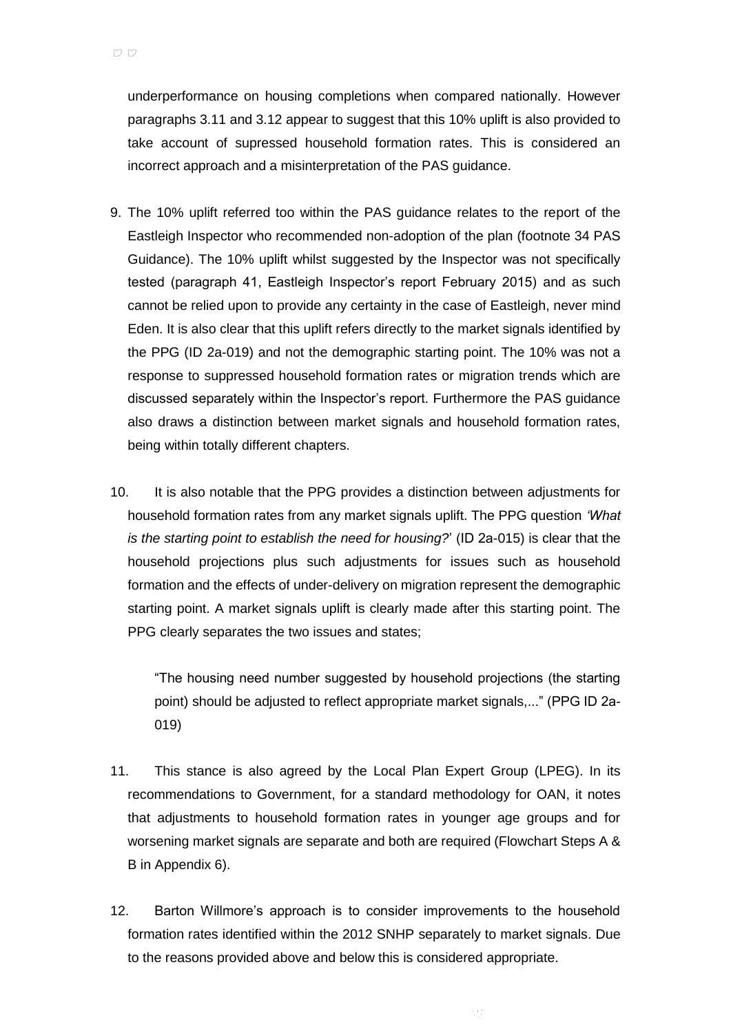underperformance on housing completions when compared nationally. However paragraphs 3.11 and 3.12 appear to suggest that this 10% uplift is also provided to take account of supressed household formation rates. This is considered an incorrect approach and a misinterpretation of the PAS guidance.

- 9. The 10% uplift referred too within the PAS guidance relates to the report of the Eastleigh Inspector who recommended non-adoption of the plan (footnote 34 PAS Guidance). The 10% uplift whilst suggested by the Inspector was not specifically tested (paragraph 41, Eastleigh Inspector's report February 2015) and as such cannot be relied upon to provide any certainty in the case of Eastleigh, never mind Eden. It is also clear that this uplift refers directly to the market signals identified by the PPG (ID 2a-019) and not the demographic starting point. The 10% was not a response to suppressed household formation rates or migration trends which are discussed separately within the Inspector's report. Furthermore the PAS guidance also draws a distinction between market signals and household formation rates, being within totally different chapters.
- 10. It is also notable that the PPG provides a distinction between adjustments for household formation rates from any market signals uplift. The PPG question *'What is the starting point to establish the need for housing?*' (ID 2a-015) is clear that the household projections plus such adjustments for issues such as household formation and the effects of under-delivery on migration represent the demographic starting point. A market signals uplift is clearly made after this starting point. The PPG clearly separates the two issues and states;

"The housing need number suggested by household projections (the starting point) should be adjusted to reflect appropriate market signals,..." (PPG ID 2a-019)

- 11. This stance is also agreed by the Local Plan Expert Group (LPEG). In its recommendations to Government, for a standard methodology for OAN, it notes that adjustments to household formation rates in younger age groups and for worsening market signals are separate and both are required (Flowchart Steps A & B in Appendix 6).
- 12. Barton Willmore's approach is to consider improvements to the household formation rates identified within the 2012 SNHP separately to market signals. Due to the reasons provided above and below this is considered appropriate.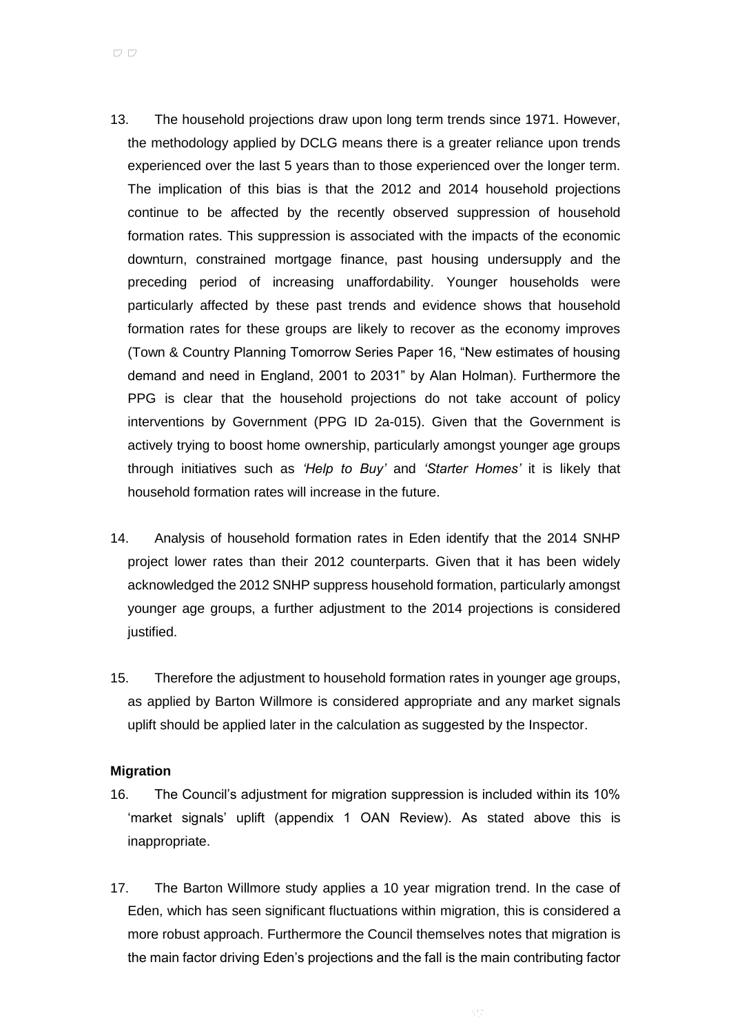- 13. The household projections draw upon long term trends since 1971. However, the methodology applied by DCLG means there is a greater reliance upon trends experienced over the last 5 years than to those experienced over the longer term. The implication of this bias is that the 2012 and 2014 household projections continue to be affected by the recently observed suppression of household formation rates. This suppression is associated with the impacts of the economic downturn, constrained mortgage finance, past housing undersupply and the preceding period of increasing unaffordability. Younger households were particularly affected by these past trends and evidence shows that household formation rates for these groups are likely to recover as the economy improves (Town & Country Planning Tomorrow Series Paper 16, "New estimates of housing demand and need in England, 2001 to 2031" by Alan Holman). Furthermore the PPG is clear that the household projections do not take account of policy interventions by Government (PPG ID 2a-015). Given that the Government is actively trying to boost home ownership, particularly amongst younger age groups through initiatives such as *'Help to Buy'* and *'Starter Homes'* it is likely that household formation rates will increase in the future.
- 14. Analysis of household formation rates in Eden identify that the 2014 SNHP project lower rates than their 2012 counterparts. Given that it has been widely acknowledged the 2012 SNHP suppress household formation, particularly amongst younger age groups, a further adjustment to the 2014 projections is considered justified.
- 15. Therefore the adjustment to household formation rates in younger age groups, as applied by Barton Willmore is considered appropriate and any market signals uplift should be applied later in the calculation as suggested by the Inspector.

#### **Migration**

- 16. The Council's adjustment for migration suppression is included within its 10% 'market signals' uplift (appendix 1 OAN Review). As stated above this is inappropriate.
- 17. The Barton Willmore study applies a 10 year migration trend. In the case of Eden, which has seen significant fluctuations within migration, this is considered a more robust approach. Furthermore the Council themselves notes that migration is the main factor driving Eden's projections and the fall is the main contributing factor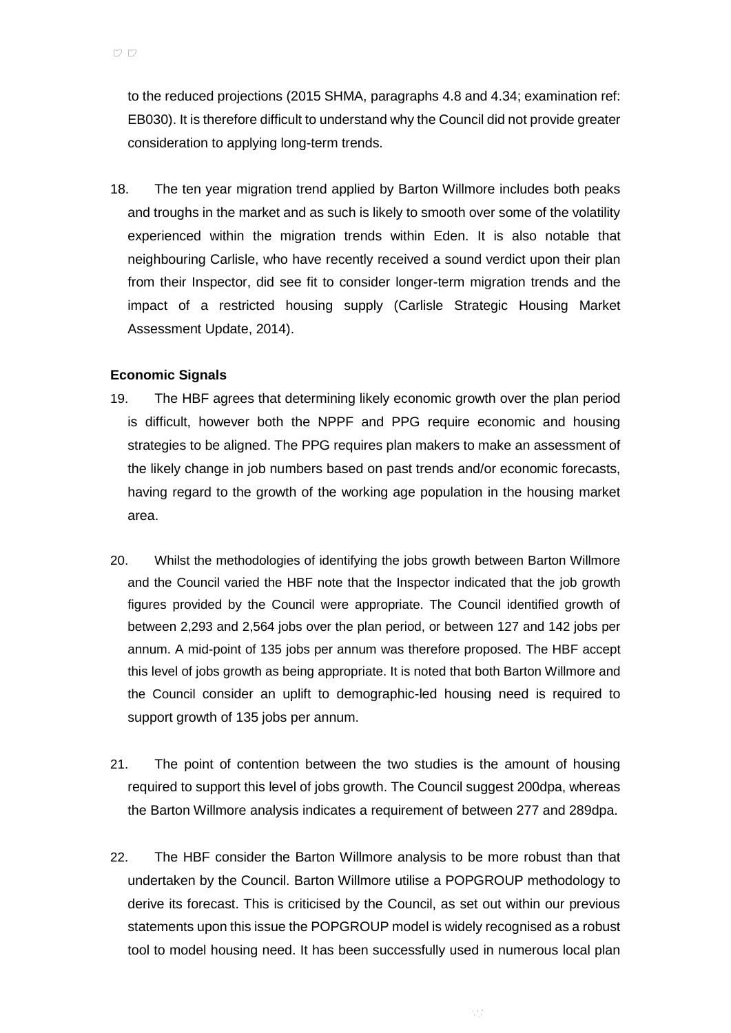to the reduced projections (2015 SHMA, paragraphs 4.8 and 4.34; examination ref: EB030). It is therefore difficult to understand why the Council did not provide greater consideration to applying long-term trends.

18. The ten year migration trend applied by Barton Willmore includes both peaks and troughs in the market and as such is likely to smooth over some of the volatility experienced within the migration trends within Eden. It is also notable that neighbouring Carlisle, who have recently received a sound verdict upon their plan from their Inspector, did see fit to consider longer-term migration trends and the impact of a restricted housing supply (Carlisle Strategic Housing Market Assessment Update, 2014).

# **Economic Signals**

- 19. The HBF agrees that determining likely economic growth over the plan period is difficult, however both the NPPF and PPG require economic and housing strategies to be aligned. The PPG requires plan makers to make an assessment of the likely change in job numbers based on past trends and/or economic forecasts, having regard to the growth of the working age population in the housing market area.
- 20. Whilst the methodologies of identifying the jobs growth between Barton Willmore and the Council varied the HBF note that the Inspector indicated that the job growth figures provided by the Council were appropriate. The Council identified growth of between 2,293 and 2,564 jobs over the plan period, or between 127 and 142 jobs per annum. A mid-point of 135 jobs per annum was therefore proposed. The HBF accept this level of jobs growth as being appropriate. It is noted that both Barton Willmore and the Council consider an uplift to demographic-led housing need is required to support growth of 135 jobs per annum.
- 21. The point of contention between the two studies is the amount of housing required to support this level of jobs growth. The Council suggest 200dpa, whereas the Barton Willmore analysis indicates a requirement of between 277 and 289dpa.
- 22. The HBF consider the Barton Willmore analysis to be more robust than that undertaken by the Council. Barton Willmore utilise a POPGROUP methodology to derive its forecast. This is criticised by the Council, as set out within our previous statements upon this issue the POPGROUP model is widely recognised as a robust tool to model housing need. It has been successfully used in numerous local plan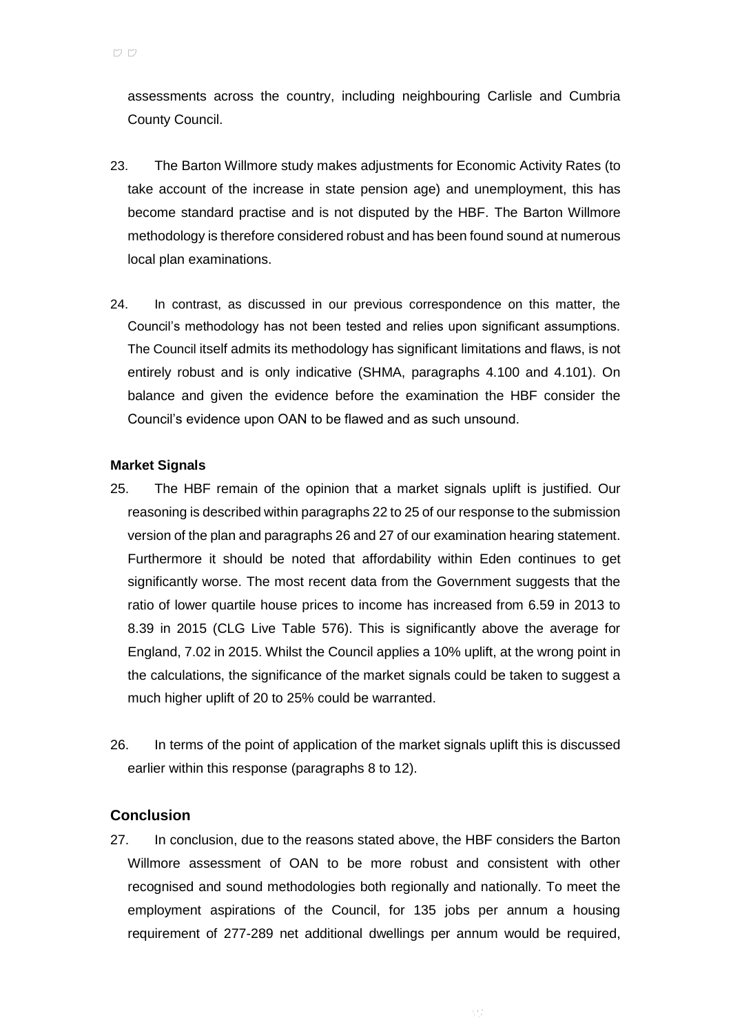assessments across the country, including neighbouring Carlisle and Cumbria County Council.

- 23. The Barton Willmore study makes adjustments for Economic Activity Rates (to take account of the increase in state pension age) and unemployment, this has become standard practise and is not disputed by the HBF. The Barton Willmore methodology is therefore considered robust and has been found sound at numerous local plan examinations.
- 24. In contrast, as discussed in our previous correspondence on this matter, the Council's methodology has not been tested and relies upon significant assumptions. The Council itself admits its methodology has significant limitations and flaws, is not entirely robust and is only indicative (SHMA, paragraphs 4.100 and 4.101). On balance and given the evidence before the examination the HBF consider the Council's evidence upon OAN to be flawed and as such unsound.

### **Market Signals**

- 25. The HBF remain of the opinion that a market signals uplift is justified. Our reasoning is described within paragraphs 22 to 25 of our response to the submission version of the plan and paragraphs 26 and 27 of our examination hearing statement. Furthermore it should be noted that affordability within Eden continues to get significantly worse. The most recent data from the Government suggests that the ratio of lower quartile house prices to income has increased from 6.59 in 2013 to 8.39 in 2015 (CLG Live Table 576). This is significantly above the average for England, 7.02 in 2015. Whilst the Council applies a 10% uplift, at the wrong point in the calculations, the significance of the market signals could be taken to suggest a much higher uplift of 20 to 25% could be warranted.
- 26. In terms of the point of application of the market signals uplift this is discussed earlier within this response (paragraphs 8 to 12).

# **Conclusion**

27. In conclusion, due to the reasons stated above, the HBF considers the Barton Willmore assessment of OAN to be more robust and consistent with other recognised and sound methodologies both regionally and nationally. To meet the employment aspirations of the Council, for 135 jobs per annum a housing requirement of 277-289 net additional dwellings per annum would be required,